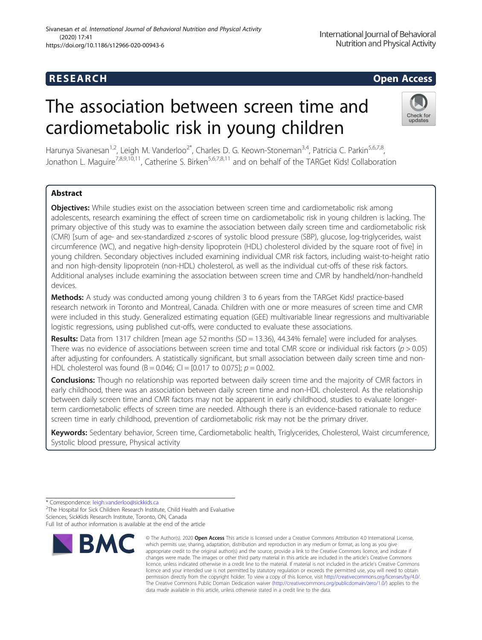# R E S EAR CH Open Access

# The association between screen time and cardiometabolic risk in young children



Harunya Sivanesan<sup>1,2</sup>, Leigh M. Vanderloo<sup>2\*</sup>, Charles D. G. Keown-Stoneman<sup>3,4</sup>, Patricia C. Parkin<sup>5,6,7,8</sup>, Jonathon L. Maguire<sup>7,8,9,10,11</sup>, Catherine S. Birken<sup>5,6,7,8,11</sup> and on behalf of the TARGet Kids! Collaboration

## Abstract

**Objectives:** While studies exist on the association between screen time and cardiometabolic risk among adolescents, research examining the effect of screen time on cardiometabolic risk in young children is lacking. The primary objective of this study was to examine the association between daily screen time and cardiometabolic risk (CMR) [sum of age- and sex-standardized z-scores of systolic blood pressure (SBP), glucose, log-triglycerides, waist circumference (WC), and negative high-density lipoprotein (HDL) cholesterol divided by the square root of five] in young children. Secondary objectives included examining individual CMR risk factors, including waist-to-height ratio and non high-density lipoprotein (non-HDL) cholesterol, as well as the individual cut-offs of these risk factors. Additional analyses include examining the association between screen time and CMR by handheld/non-handheld devices.

Methods: A study was conducted among young children 3 to 6 years from the TARGet Kids! practice-based research network in Toronto and Montreal, Canada. Children with one or more measures of screen time and CMR were included in this study. Generalized estimating equation (GEE) multivariable linear regressions and multivariable logistic regressions, using published cut-offs, were conducted to evaluate these associations.

Results: Data from 1317 children [mean age 52 months (SD = 13.36), 44.34% female] were included for analyses. There was no evidence of associations between screen time and total CMR score or individual risk factors ( $p > 0.05$ ) after adjusting for confounders. A statistically significant, but small association between daily screen time and non-HDL cholesterol was found (B = 0.046; CI = [0.017 to 0.075];  $p = 0.002$ .

**Conclusions:** Though no relationship was reported between daily screen time and the majority of CMR factors in early childhood, there was an association between daily screen time and non-HDL cholesterol. As the relationship between daily screen time and CMR factors may not be apparent in early childhood, studies to evaluate longerterm cardiometabolic effects of screen time are needed. Although there is an evidence-based rationale to reduce screen time in early childhood, prevention of cardiometabolic risk may not be the primary driver.

Keywords: Sedentary behavior, Screen time, Cardiometabolic health, Triglycerides, Cholesterol, Waist circumference, Systolic blood pressure, Physical activity

<sup>&</sup>lt;sup>2</sup>The Hospital for Sick Children Research Institute, Child Health and Evaluative Sciences, SickKids Research Institute, Toronto, ON, Canada Full list of author information is available at the end of the article



<sup>©</sup> The Author(s), 2020 **Open Access** This article is licensed under a Creative Commons Attribution 4.0 International License, which permits use, sharing, adaptation, distribution and reproduction in any medium or format, as long as you give appropriate credit to the original author(s) and the source, provide a link to the Creative Commons licence, and indicate if changes were made. The images or other third party material in this article are included in the article's Creative Commons licence, unless indicated otherwise in a credit line to the material. If material is not included in the article's Creative Commons licence and your intended use is not permitted by statutory regulation or exceeds the permitted use, you will need to obtain permission directly from the copyright holder. To view a copy of this licence, visit [http://creativecommons.org/licenses/by/4.0/.](http://creativecommons.org/licenses/by/4.0/) The Creative Commons Public Domain Dedication waiver [\(http://creativecommons.org/publicdomain/zero/1.0/](http://creativecommons.org/publicdomain/zero/1.0/)) applies to the data made available in this article, unless otherwise stated in a credit line to the data.

<sup>\*</sup> Correspondence: [leigh.vanderloo@sickkids.ca](mailto:leigh.vanderloo@sickkids.ca) <sup>2</sup>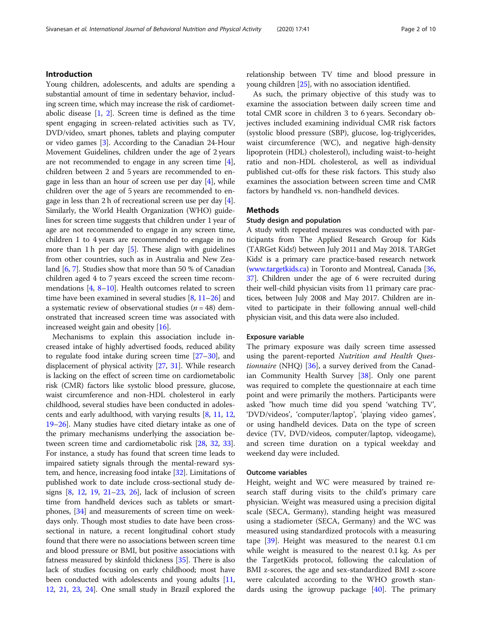#### Introduction

Young children, adolescents, and adults are spending a substantial amount of time in sedentary behavior, including screen time, which may increase the risk of cardiometabolic disease [\[1,](#page-7-0) [2](#page-7-0)]. Screen time is defined as the time spent engaging in screen-related activities such as TV, DVD/video, smart phones, tablets and playing computer or video games [\[3](#page-7-0)]. According to the Canadian 24-Hour Movement Guidelines, children under the age of 2 years are not recommended to engage in any screen time [[4](#page-7-0)], children between 2 and 5 years are recommended to engage in less than an hour of screen use per day  $[4]$ , while children over the age of 5 years are recommended to engage in less than 2 h of recreational screen use per day [[4](#page-7-0)]. Similarly, the World Health Organization (WHO) guidelines for screen time suggests that children under 1 year of age are not recommended to engage in any screen time, children 1 to 4 years are recommended to engage in no more than 1 h per day  $[5]$ . These align with guidelines from other countries, such as in Australia and New Zealand [[6,](#page-7-0) [7](#page-7-0)]. Studies show that more than 50 % of Canadian children aged 4 to 7 years exceed the screen time recommendations [\[4,](#page-7-0) [8](#page-7-0)–[10\]](#page-7-0). Health outcomes related to screen time have been examined in several studies  $[8, 11–26]$  $[8, 11–26]$  $[8, 11–26]$  $[8, 11–26]$  $[8, 11–26]$  and a systematic review of observational studies  $(n = 48)$  demonstrated that increased screen time was associated with increased weight gain and obesity [\[16\]](#page-7-0).

Mechanisms to explain this association include increased intake of highly advertised foods, reduced ability to regulate food intake during screen time [\[27](#page-8-0)–[30](#page-8-0)], and displacement of physical activity [\[27,](#page-8-0) [31](#page-8-0)]. While research is lacking on the effect of screen time on cardiometabolic risk (CMR) factors like systolic blood pressure, glucose, waist circumference and non-HDL cholesterol in early childhood, several studies have been conducted in adolescents and early adulthood, with varying results [\[8](#page-7-0), [11](#page-7-0), [12](#page-7-0), [19](#page-8-0)–[26\]](#page-8-0). Many studies have cited dietary intake as one of the primary mechanisms underlying the association between screen time and cardiometabolic risk [\[28,](#page-8-0) [32,](#page-8-0) [33](#page-8-0)]. For instance, a study has found that screen time leads to impaired satiety signals through the mental-reward system, and hence, increasing food intake [\[32\]](#page-8-0). Limitations of published work to date include cross-sectional study designs [\[8,](#page-7-0) [12](#page-7-0), [19](#page-8-0), [21](#page-8-0)–[23](#page-8-0), [26](#page-8-0)], lack of inclusion of screen time from handheld devices such as tablets or smartphones, [\[34\]](#page-8-0) and measurements of screen time on weekdays only. Though most studies to date have been crosssectional in nature, a recent longitudinal cohort study found that there were no associations between screen time and blood pressure or BMI, but positive associations with fatness measured by skinfold thickness [\[35\]](#page-8-0). There is also lack of studies focusing on early childhood; most have been conducted with adolescents and young adults [[11](#page-7-0), [12](#page-7-0), [21,](#page-8-0) [23,](#page-8-0) [24](#page-8-0)]. One small study in Brazil explored the

relationship between TV time and blood pressure in young children [\[25](#page-8-0)], with no association identified.

As such, the primary objective of this study was to examine the association between daily screen time and total CMR score in children 3 to 6 years. Secondary objectives included examining individual CMR risk factors (systolic blood pressure (SBP), glucose, log-triglycerides, waist circumference (WC), and negative high-density lipoprotein (HDL) cholesterol), including waist-to-height ratio and non-HDL cholesterol, as well as individual published cut-offs for these risk factors. This study also examines the association between screen time and CMR factors by handheld vs. non-handheld devices.

#### **Methods**

### Study design and population

A study with repeated measures was conducted with participants from The Applied Research Group for Kids (TARGet Kids!) between July 2011 and May 2018. TARGet Kids! is a primary care practice-based research network ([www.targetkids.ca\)](http://www.targetkids.ca) in Toronto and Montreal, Canada [\[36](#page-8-0), [37](#page-8-0)]. Children under the age of 6 were recruited during their well-child physician visits from 11 primary care practices, between July 2008 and May 2017. Children are invited to participate in their following annual well-child physician visit, and this data were also included.

#### Exposure variable

The primary exposure was daily screen time assessed using the parent-reported Nutrition and Health Ques-tionnaire (NHQ) [[36](#page-8-0)], a survey derived from the Canadian Community Health Survey [[38\]](#page-8-0). Only one parent was required to complete the questionnaire at each time point and were primarily the mothers. Participants were asked "how much time did you spend 'watching TV', 'DVD/videos', 'computer/laptop', 'playing video games', or using handheld devices. Data on the type of screen device (TV, DVD/videos, computer/laptop, videogame), and screen time duration on a typical weekday and weekend day were included.

#### Outcome variables

Height, weight and WC were measured by trained research staff during visits to the child's primary care physician. Weight was measured using a precision digital scale (SECA, Germany), standing height was measured using a stadiometer (SECA, Germany) and the WC was measured using standardized protocols with a measuring tape  $[39]$  $[39]$ . Height was measured to the nearest 0.1 cm while weight is measured to the nearest 0.1 kg. As per the TargetKids protocol, following the calculation of BMI z-scores, the age and sex-standardized BMI z-score were calculated according to the WHO growth standards using the igrowup package  $[40]$  $[40]$ . The primary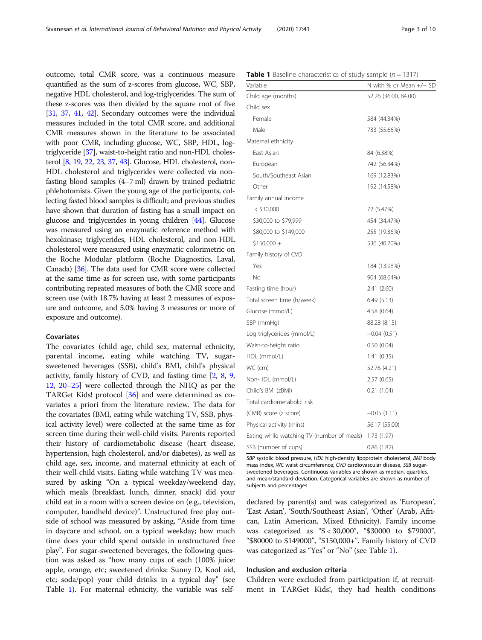<span id="page-2-0"></span>outcome, total CMR score, was a continuous measure quantified as the sum of z-scores from glucose, WC, SBP, negative HDL cholesterol, and log-triglycerides. The sum of these z-scores was then divided by the square root of five [[31](#page-8-0), [37,](#page-8-0) [41,](#page-8-0) [42](#page-8-0)]. Secondary outcomes were the individual measures included in the total CMR score, and additional CMR measures shown in the literature to be associated with poor CMR, including glucose, WC, SBP, HDL, logtriglyceride [[37](#page-8-0)], waist-to-height ratio and non-HDL cholesterol [[8](#page-7-0), [19,](#page-8-0) [22](#page-8-0), [23,](#page-8-0) [37,](#page-8-0) [43](#page-8-0)]. Glucose, HDL cholesterol, non-HDL cholesterol and triglycerides were collected via nonfasting blood samples (4–7 ml) drawn by trained pediatric phlebotomists. Given the young age of the participants, collecting fasted blood samples is difficult; and previous studies have shown that duration of fasting has a small impact on glucose and triglycerides in young children [\[44\]](#page-8-0). Glucose was measured using an enzymatic reference method with hexokinase; triglycerides, HDL cholesterol, and non-HDL cholesterol were measured using enzymatic colorimetric on the Roche Modular platform (Roche Diagnostics, Laval, Canada) [\[36](#page-8-0)]. The data used for CMR score were collected at the same time as for screen use, with some participants contributing repeated measures of both the CMR score and screen use (with 18.7% having at least 2 measures of exposure and outcome, and 5.0% having 3 measures or more of exposure and outcome).

#### Covariates

The covariates (child age, child sex, maternal ethnicity, parental income, eating while watching TV, sugarsweetened beverages (SSB), child's BMI, child's physical activity, family history of CVD, and fasting time [\[2,](#page-7-0) [8,](#page-7-0) [9](#page-7-0), [12](#page-7-0), [20](#page-8-0)–[25\]](#page-8-0) were collected through the NHQ as per the TARGet Kids! protocol [[36](#page-8-0)] and were determined as covariates a priori from the literature review. The data for the covariates (BMI, eating while watching TV, SSB, physical activity level) were collected at the same time as for screen time during their well-child visits. Parents reported their history of cardiometabolic disease (heart disease, hypertension, high cholesterol, and/or diabetes), as well as child age, sex, income, and maternal ethnicity at each of their well-child visits. Eating while watching TV was measured by asking "On a typical weekday/weekend day, which meals (breakfast, lunch, dinner, snack) did your child eat in a room with a screen device on (e.g., television, computer, handheld device)". Unstructured free play outside of school was measured by asking, "Aside from time in daycare and school, on a typical weekday; how much time does your child spend outside in unstructured free play". For sugar-sweetened beverages, the following question was asked as "how many cups of each (100% juice: apple, orange, etc; sweetened drinks: Sunny D, Kool aid, etc; soda/pop) your child drinks in a typical day" (see Table 1). For maternal ethnicity, the variable was self-

|  |  | <b>Table 1</b> Baseline characteristics of study sample $(n = 1317)$ |  |  |  |  |  |  |  |  |
|--|--|----------------------------------------------------------------------|--|--|--|--|--|--|--|--|
|--|--|----------------------------------------------------------------------|--|--|--|--|--|--|--|--|

| Variable                                   | N with % or Mean +/- SD |  |  |  |
|--------------------------------------------|-------------------------|--|--|--|
| Child age (months)                         | 52.26 (36.00, 84.00)    |  |  |  |
| Child sex                                  |                         |  |  |  |
| Female                                     | 584 (44.34%)            |  |  |  |
| Male                                       | 733 (55.66%)            |  |  |  |
| Maternal ethnicity                         |                         |  |  |  |
| East Asian                                 | 84 (6.38%)              |  |  |  |
| European                                   | 742 (56.34%)            |  |  |  |
| South/Southeast Asian                      | 169 (12.83%)            |  |  |  |
| Other                                      | 192 (14.58%)            |  |  |  |
| Family annual income                       |                         |  |  |  |
| $<$ \$30,000                               | 72 (5.47%)              |  |  |  |
| \$30,000 to \$79,999                       | 454 (34.47%)            |  |  |  |
| \$80,000 to \$149,000                      | 255 (19.36%)            |  |  |  |
| $$150,000 +$                               | 536 (40.70%)            |  |  |  |
| Family history of CVD                      |                         |  |  |  |
| Yes                                        | 184 (13.98%)            |  |  |  |
| No                                         | 904 (68.64%)            |  |  |  |
| Fasting time (hour)                        | 2.41(2.60)              |  |  |  |
| Total screen time (h/week)                 | 6.49(5.13)              |  |  |  |
| Glucose (mmol/L)                           | 4.58(0.64)              |  |  |  |
| SBP (mmHg)                                 | 88.28 (8.15)            |  |  |  |
| Log triglycerides (mmol/L)                 | $-0.04(0.51)$           |  |  |  |
| Waist-to-height ratio                      | 0.50(0.04)              |  |  |  |
| HDL (mmol/L)                               | 1.41(0.35)              |  |  |  |
| WC (cm)                                    | 52.76 (4.21)            |  |  |  |
| Non-HDL (mmol/L)                           | 2.57(0.65)              |  |  |  |
| Child's BMI (zBMI)                         | 0.21(1.04)              |  |  |  |
| Total cardiometabolic risk                 |                         |  |  |  |
| (CMR) score (z score)                      | $-0.05(1.11)$           |  |  |  |
| Physical activity (mins)                   | 56.17 (55.00)           |  |  |  |
| Eating while watching TV (number of meals) | 1.73 (1.97)             |  |  |  |
| SSB (number of cups)                       | 0.86(1.82)              |  |  |  |

SBP systolic blood pressure, HDL high-density lipoprotein cholesterol, BMI body mass index, WC waist circumference, CVD cardiovascular disease, SSB sugarsweetened beverages. Continuous variables are shown as median, quartiles, and mean/standard deviation. Categorical variables are shown as number of subjects and percentages

declared by parent(s) and was categorized as 'European', 'East Asian', 'South/Southeast Asian', 'Other' (Arab, African, Latin American, Mixed Ethnicity). Family income was categorized as "\$ < 30,000", "\$30000 to \$79000", "\$80000 to \$149000", "\$150,000+". Family history of CVD was categorized as "Yes" or "No" (see Table 1).

#### Inclusion and exclusion criteria

Children were excluded from participation if, at recruitment in TARGet Kids!, they had health conditions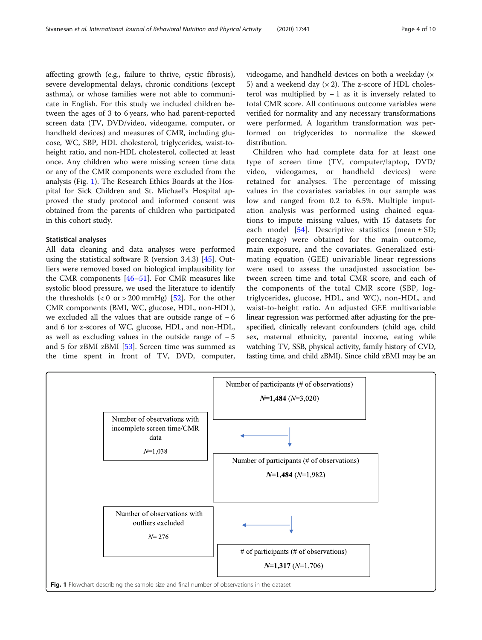<span id="page-3-0"></span>affecting growth (e.g., failure to thrive, cystic fibrosis), severe developmental delays, chronic conditions (except asthma), or whose families were not able to communicate in English. For this study we included children between the ages of 3 to 6 years, who had parent-reported screen data (TV, DVD/video, videogame, computer, or handheld devices) and measures of CMR, including glucose, WC, SBP, HDL cholesterol, triglycerides, waist-toheight ratio, and non-HDL cholesterol, collected at least once. Any children who were missing screen time data or any of the CMR components were excluded from the analysis (Fig. 1). The Research Ethics Boards at the Hospital for Sick Children and St. Michael's Hospital approved the study protocol and informed consent was obtained from the parents of children who participated in this cohort study.

#### Statistical analyses

All data cleaning and data analyses were performed using the statistical software R (version 3.4.3) [\[45\]](#page-8-0). Outliers were removed based on biological implausibility for the CMR components [\[46](#page-8-0)–[51\]](#page-8-0). For CMR measures like systolic blood pressure, we used the literature to identify the thresholds  $(< 0 \text{ or } > 200 \text{ mmHg})$  [\[52\]](#page-8-0). For the other CMR components (BMI, WC, glucose, HDL, non-HDL), we excluded all the values that are outside range of − 6 and 6 for z-scores of WC, glucose, HDL, and non-HDL, as well as excluding values in the outside range of − 5 and 5 for zBMI zBMI [[53\]](#page-8-0). Screen time was summed as the time spent in front of TV, DVD, computer, videogame, and handheld devices on both a weekday (× 5) and a weekend day  $(x 2)$ . The z-score of HDL cholesterol was multiplied by − 1 as it is inversely related to total CMR score. All continuous outcome variables were verified for normality and any necessary transformations were performed. A logarithm transformation was performed on triglycerides to normalize the skewed distribution.

Children who had complete data for at least one type of screen time (TV, computer/laptop, DVD/ video, videogames, or handheld devices) were retained for analyses. The percentage of missing values in the covariates variables in our sample was low and ranged from 0.2 to 6.5%. Multiple imputation analysis was performed using chained equations to impute missing values, with 15 datasets for each model  $[54]$  $[54]$  $[54]$ . Descriptive statistics (mean  $\pm$  SD; percentage) were obtained for the main outcome, main exposure, and the covariates. Generalized estimating equation (GEE) univariable linear regressions were used to assess the unadjusted association between screen time and total CMR score, and each of the components of the total CMR score (SBP, logtriglycerides, glucose, HDL, and WC), non-HDL, and waist-to-height ratio. An adjusted GEE multivariable linear regression was performed after adjusting for the prespecified, clinically relevant confounders (child age, child sex, maternal ethnicity, parental income, eating while watching TV, SSB, physical activity, family history of CVD, fasting time, and child zBMI). Since child zBMI may be an

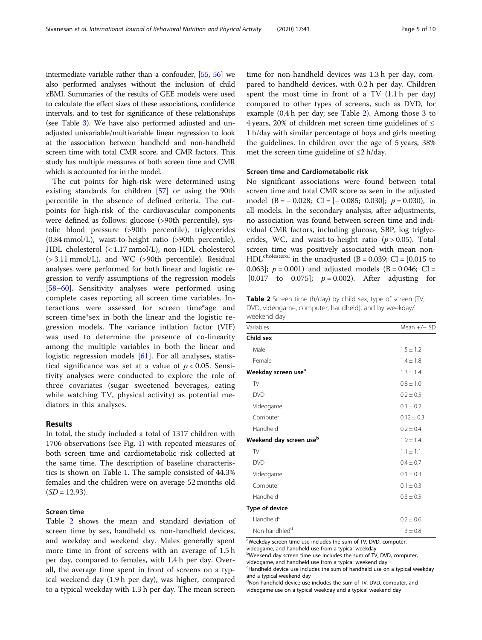intermediate variable rather than a confouder, [\[55,](#page-8-0) [56\]](#page-8-0) we also performed analyses without the inclusion of child zBMI. Summaries of the results of GEE models were used to calculate the effect sizes of these associations, confidence intervals, and to test for significance of these relationships (see Table [3\)](#page-5-0). We have also performed adjusted and unadjusted univariable/multivariable linear regression to look at the association between handheld and non-handheld screen time with total CMR score, and CMR factors. This study has multiple measures of both screen time and CMR which is accounted for in the model.

The cut points for high-risk were determined using existing standards for children [[57](#page-8-0)] or using the 90th percentile in the absence of defined criteria. The cutpoints for high-risk of the cardiovascular components were defined as follows: glucose (>90th percentile), systolic blood pressure (>90th percentile), triglycerides (0.84 mmol/L), waist-to-height ratio (>90th percentile), HDL cholesterol (< 1.17 mmol/L), non-HDL cholesterol (> 3.11 mmol/L), and WC (>90th percentile). Residual analyses were performed for both linear and logistic regression to verify assumptions of the regression models [[58](#page-8-0)–[60](#page-8-0)]. Sensitivity analyses were performed using complete cases reporting all screen time variables. Interactions were assessed for screen time\*age and screen time\*sex in both the linear and the logistic regression models. The variance inflation factor (VIF) was used to determine the presence of co-linearity among the multiple variables in both the linear and logistic regression models [[61\]](#page-8-0). For all analyses, statistical significance was set at a value of  $p < 0.05$ . Sensitivity analyses were conducted to explore the role of three covariates (sugar sweetened beverages, eating while watching TV, physical activity) as potential mediators in this analyses.

#### Results

In total, the study included a total of 1317 children with 1706 observations (see Fig. [1\)](#page-3-0) with repeated measures of both screen time and cardiometabolic risk collected at the same time. The description of baseline characteristics is shown on Table [1](#page-2-0). The sample consisted of 44.3% females and the children were on average 52 months old  $(SD = 12.93)$ .

#### Screen time

Table 2 shows the mean and standard deviation of screen time by sex, handheld vs. non-handheld devices, and weekday and weekend day. Males generally spent more time in front of screens with an average of 1.5 h per day, compared to females, with 1.4 h per day. Overall, the average time spent in front of screens on a typical weekend day (1.9 h per day), was higher, compared to a typical weekday with 1.3 h per day. The mean screen

time for non-handheld devices was 1.3 h per day, compared to handheld devices, with 0.2 h per day. Children spent the most time in front of a TV (1.1 h per day) compared to other types of screens, such as DVD, for example (0.4 h per day; see Table 2). Among those 3 to 4 years, 20% of children met screen time guidelines of  $\leq$ 1 h/day with similar percentage of boys and girls meeting the guidelines. In children over the age of 5 years, 38% met the screen time guideline of ≤2 h/day.

#### Screen time and Cardiometabolic risk

No significant associations were found between total screen time and total CMR score as seen in the adjusted model (B =  $-0.028$ ; CI = [ $-0.085$ ; 0.030];  $p = 0.030$ ), in all models. In the secondary analysis, after adjustments, no association was found between screen time and individual CMR factors, including glucose, SBP, log triglycerides, WC, and waist-to-height ratio  $(p > 0.05)$ . Total screen time was positively associated with mean non-HDL<sup>cholesterol</sup> in the unadjusted (B = 0.039; CI = [0.015 to 0.063];  $p = 0.001$  and adjusted models (B = 0.046; CI = [0.017 to 0.075];  $p = 0.002$ ). After adjusting for

Table 2 Screen time (h/day) by child sex, type of screen (TV, DVD, videogame, computer, handheld), and by weekday/ weekend day

| <i><b>WEEKEHU UAY</b></i>           |                |
|-------------------------------------|----------------|
| Variables                           | Mean $+/-$ SD  |
| Child sex                           |                |
| Male                                | $1.5 \pm 1.2$  |
| Female                              | $1.4 \pm 1.8$  |
| Weekday screen use <sup>a</sup>     | $1.3 \pm 1.4$  |
| TV                                  | $0.8 \pm 1.0$  |
| <b>DVD</b>                          | $0.2 \pm 0.5$  |
| Videogame                           | $0.1 \pm 0.2$  |
| Computer                            | $0.12 \pm 0.3$ |
| Handheld                            | $0.2 \pm 0.4$  |
| Weekend day screen use <sup>b</sup> | $1.9 \pm 1.4$  |
| TV                                  | $1.1 \pm 1.1$  |
| <b>DVD</b>                          | $0.4 \pm 0.7$  |
| Videogame                           | $0.1 \pm 0.3$  |
| Computer                            | $0.1 \pm 0.3$  |
| Handheld                            | $0.3 \pm 0.5$  |
| Type of device                      |                |
| Handheld <sup>c</sup>               | $0.2 \pm 0.6$  |
| Non-handhled <sup>d</sup>           | $1.3 \pm 0.8$  |

<sup>a</sup>Weekday screen time use includes the sum of TV, DVD, computer,

videogame, and handheld use from a typical weekday

bWeekend day screen time use includes the sum of TV, DVD, computer, videogame, and handheld use from a typical weekend day

<sup>c</sup>Handheld device use includes the sum of handheld use on a typical weekday and a typical weekend day

d Non-handheld device use includes the sum of TV, DVD, computer, and videogame use on a typical weekday and a typical weekend day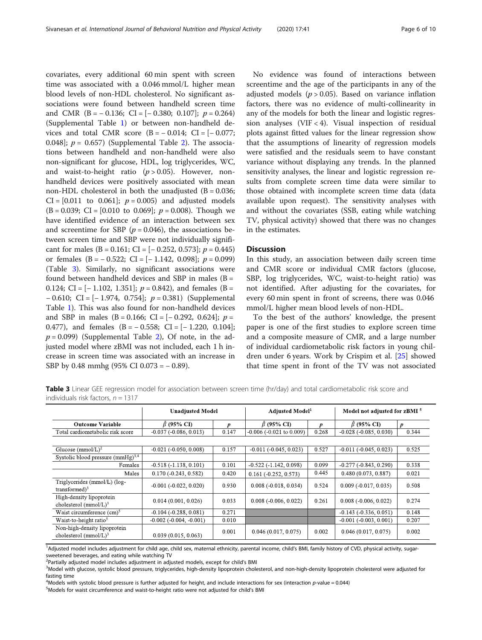<span id="page-5-0"></span>covariates, every additional 60 min spent with screen time was associated with a 0.046 mmol/L higher mean blood levels of non-HDL cholesterol. No significant associations were found between handheld screen time and CMR  $(B = -0.136; CI = [-0.380; 0.107]; p = 0.264)$ (Supplemental Table [1\)](#page-6-0) or between non-handheld devices and total CMR score  $(B = -0.014; C = [-0.077;$ 0.048];  $p = 0.657$  (Supplemental Table [2\)](#page-6-0). The associations between handheld and non-handheld were also non-significant for glucose, HDL, log triglycerides, WC, and waist-to-height ratio  $(p > 0.05)$ . However, nonhandheld devices were positively associated with mean non-HDL cholesterol in both the unadjusted  $(B = 0.036;$  $CI = [0.011$  to 0.061];  $p = 0.005$  and adjusted models  $(B = 0.039; CI = [0.010 \text{ to } 0.069]; p = 0.008$ . Though we have identified evidence of an interaction between sex and screentime for SBP ( $p = 0.046$ ), the associations between screen time and SBP were not individually significant for males (B = 0.161; CI =  $[-0.252, 0.573]$ ;  $p = 0.445$ ) or females  $(B = -0.522;$  CI = [-1.142, 0.098];  $p = 0.099$ ) (Table 3). Similarly, no significant associations were found between handheld devices and SBP in males ( $B =$ 0.124; CI =  $[-1.102, 1.351]$ ;  $p = 0.842$ ), and females (B = − 0.610; CI = [− 1.974, 0.754]; p = 0.381) (Supplemental Table [1](#page-6-0)). This was also found for non-handheld devices and SBP in males (B = 0.166; CI =  $[-0.292, 0.624]$ ; p = 0.477), and females  $(B = -0.558; CI = [-1.220, 0.104];$  $p = 0.099$ ) (Supplemental Table [2](#page-6-0)), Of note, in the adjusted model where zBMI was not included, each 1 h increase in screen time was associated with an increase in SBP by 0.48 mmhg (95% CI 0.073 = − 0.89).

No evidence was found of interactions between screentime and the age of the participants in any of the adjusted models ( $p > 0.05$ ). Based on variance inflation factors, there was no evidence of multi-collinearity in any of the models for both the linear and logistic regression analyses (VIF < 4). Visual inspection of residual plots against fitted values for the linear regression show that the assumptions of linearity of regression models were satisfied and the residuals seem to have constant variance without displaying any trends. In the planned sensitivity analyses, the linear and logistic regression results from complete screen time data were similar to those obtained with incomplete screen time data (data available upon request). The sensitivity analyses with and without the covariates (SSB, eating while watching TV, physical activity) showed that there was no changes in the estimates.

#### **Discussion**

In this study, an association between daily screen time and CMR score or individual CMR factors (glucose, SBP, log triglycerides, WC, waist-to-height ratio) was not identified. After adjusting for the covariates, for every 60 min spent in front of screens, there was 0.046 mmol/L higher mean blood levels of non-HDL.

To the best of the authors' knowledge, the present paper is one of the first studies to explore screen time and a composite measure of CMR, and a large number of individual cardiometabolic risk factors in young children under 6 years. Work by Crispim et al. [\[25](#page-8-0)] showed that time spent in front of the TV was not associated

Table 3 Linear GEE regression model for association between screen time (hr/day) and total cardiometabolic risk score and individuals risk factors,  $n = 1317$ 

|                                                          | <b>Unadjusted Model</b>     |                  | <b>Adjusted Model</b> <sup>1</sup> |       | Model not adjusted for zBMI <sup>5</sup> |                  |
|----------------------------------------------------------|-----------------------------|------------------|------------------------------------|-------|------------------------------------------|------------------|
| <b>Outcome Variable</b>                                  | $\hat{\beta}$ (95% CI)      | $\boldsymbol{n}$ | $\hat{\beta}$ (95% CI)             | D     | $\hat{\beta}$ (95% CI)                   | $\boldsymbol{p}$ |
| Total cardiometabolic risk score                         | $-0.037(-0.086, 0.013)$     | 0.147            | $-0.006$ ( $-0.021$ to $0.009$ )   | 0.268 | $-0.028(-0.085, 0.030)$                  | 0.344            |
|                                                          |                             |                  |                                    |       |                                          |                  |
| Glucose (mmol/L) <sup>2</sup>                            | $-0.021(-0.050, 0.008)$     | 0.157            | $-0.011(-0.045, 0.023)$            | 0.527 | $-0.011(-0.045, 0.023)$                  | 0.525            |
| Systolic blood pressure $(mmHg)^{3,4}$                   |                             |                  |                                    |       |                                          |                  |
| Females                                                  | $-0.518(-1.138, 0.101)$     | 0.101            | $-0.522(-1.142, 0.098)$            | 0.099 | $-0.277(-0.843, 0.290)$                  | 0.338            |
| Males                                                    | $0.170(-0.243, 0.582)$      | 0.420            | $0.161 (-0.252, 0.573)$            | 0.445 | 0.480(0.073, 0.887)                      | 0.021            |
| Triglycerides (mmol/L) (log-<br>transformed $)^3$        | $-0.001(-0.022, 0.020)$     | 0.930            | $0.008(-0.018, 0.034)$             | 0.524 | $0.009(-0.017, 0.035)$                   | 0.508            |
| High-density lipoprotein<br>cholesterol $(mmol/L)^3$     | 0.014(0.001, 0.026)         | 0.033            | $0.008(-0.006, 0.022)$             | 0.261 | $0.008(-0.006, 0.022)$                   | 0.274            |
| Waist circumference $(cm)^5$                             | $-0.104(-0.288, 0.081)$     | 0.271            |                                    |       | $-0.143(-0.336, 0.051)$                  | 0.148            |
| Waist-to-height ratio <sup>5</sup>                       | $-0.002$ $(-0.004, -0.001)$ | 0.010            |                                    |       | $-0.001$ $(-0.003, 0.001)$               | 0.207            |
| Non-high-density lipoprotein<br>cholesterol $(mmol/L)^3$ | 0.039(0.015, 0.063)         | 0.001            | 0.046(0.017, 0.075)                | 0.002 | 0.046(0.017, 0.075)                      | 0.002            |

<sup>1</sup>Adjusted model includes adjustment for child age, child sex, maternal ethnicity, parental income, child's BMI, family history of CVD, physical activity, sugarsweetened beverages, and eating while watching TV

<sup>2</sup> Partially adjusted model includes adjustment in adjusted models, except for child's BMI<br><sup>3</sup> Model with alucese systelic blood pressure triglycarides, bigh-density lipoprotein chol

<sup>3</sup>Model with glucose, systolic blood pressure, triglycerides, high-density lipoprotein cholesterol, and non-high-density lipoprotein cholesterol were adjusted for fasting time

<sup>4</sup> Models with systolic blood pressure is further adjusted for height, and include interactions for sex (interaction p-value = 0.044)  $\frac{5 \text{M}{\text{od}}}{\text{M}{\text{od}}}\times\text{F}$ 

Models for waist circumference and waist-to-height ratio were not adjusted for child's BMI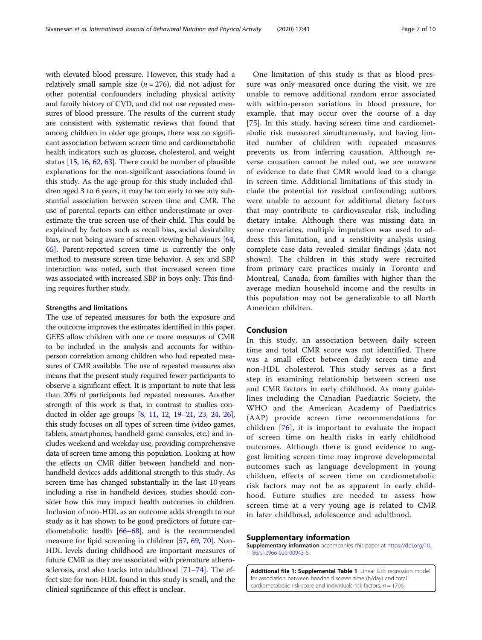<span id="page-6-0"></span>with elevated blood pressure. However, this study had a relatively small sample size ( $n = 276$ ), did not adjust for other potential confounders including physical activity and family history of CVD, and did not use repeated measures of blood pressure. The results of the current study are consistent with systematic reviews that found that among children in older age groups, there was no significant association between screen time and cardiometabolic health indicators such as glucose, cholesterol, and weight status [[15](#page-7-0), [16,](#page-7-0) [62](#page-8-0), [63\]](#page-8-0). There could be number of plausible explanations for the non-significant associations found in this study. As the age group for this study included children aged 3 to 6 years, it may be too early to see any substantial association between screen time and CMR. The use of parental reports can either underestimate or overestimate the true screen use of their child. This could be explained by factors such as recall bias, social desirability bias, or not being aware of screen-viewing behaviours [[64](#page-8-0), [65](#page-9-0)]. Parent-reported screen time is currently the only method to measure screen time behavior. A sex and SBP interaction was noted, such that increased screen time was associated with increased SBP in boys only. This finding requires further study.

#### Strengths and limitations

The use of repeated measures for both the exposure and the outcome improves the estimates identified in this paper. GEES allow children with one or more measures of CMR to be included in the analysis and accounts for withinperson correlation among children who had repeated measures of CMR available. The use of repeated measures also means that the present study required fewer participants to observe a significant effect. It is important to note that less than 20% of participants had repeated measures. Another strength of this work is that, in contrast to studies conducted in older age groups [\[8](#page-7-0), [11](#page-7-0), [12,](#page-7-0) [19](#page-8-0)–[21](#page-8-0), [23,](#page-8-0) [24](#page-8-0), [26](#page-8-0)], this study focuses on all types of screen time (video games, tablets, smartphones, handheld game consoles, etc.) and includes weekend and weekday use, providing comprehensive data of screen time among this population. Looking at how the effects on CMR differ between handheld and nonhandheld devices adds additional strength to this study. As screen time has changed substantially in the last 10 years including a rise in handheld devices, studies should consider how this may impact health outcomes in children. Inclusion of non-HDL as an outcome adds strength to our study as it has shown to be good predictors of future cardiometabolic health [\[66](#page-9-0)–[68](#page-9-0)], and is the recommended measure for lipid screening in children [\[57,](#page-8-0) [69,](#page-9-0) [70\]](#page-9-0). Non-HDL levels during childhood are important measures of future CMR as they are associated with premature atherosclerosis, and also tracks into adulthood [[71](#page-9-0)–[74\]](#page-9-0). The effect size for non-HDL found in this study is small, and the clinical significance of this effect is unclear.

One limitation of this study is that as blood pressure was only measured once during the visit, we are unable to remove additional random error associated with within-person variations in blood pressure, for example, that may occur over the course of a day [[75\]](#page-9-0). In this study, having screen time and cardiometabolic risk measured simultaneously, and having limited number of children with repeated measures prevents us from inferring causation. Although reverse causation cannot be ruled out, we are unaware of evidence to date that CMR would lead to a change in screen time. Additional limitations of this study include the potential for residual confounding; authors were unable to account for additional dietary factors that may contribute to cardiovascular risk, including dietary intake. Although there was missing data in some covariates, multiple imputation was used to address this limitation, and a sensitivity analysis using complete case data revealed similar findings (data not shown). The children in this study were recruited from primary care practices mainly in Toronto and Montreal, Canada, from families with higher than the average median household income and the results in this population may not be generalizable to all North American children.

#### Conclusion

In this study, an association between daily screen time and total CMR score was not identified. There was a small effect between daily screen time and non-HDL cholesterol. This study serves as a first step in examining relationship between screen use and CMR factors in early childhood. As many guidelines including the Canadian Paediatric Society, the WHO and the American Academy of Paediatrics (AAP) provide screen time recommendations for children [[76](#page-9-0)], it is important to evaluate the impact of screen time on health risks in early childhood outcomes. Although there is good evidence to suggest limiting screen time may improve developmental outcomes such as language development in young children, effects of screen time on cardiometabolic risk factors may not be as apparent in early childhood. Future studies are needed to assess how screen time at a very young age is related to CMR in later childhood, adolescence and adulthood.

#### Supplementary information

Supplementary information accompanies this paper at [https://doi.org/10.](https://doi.org/10.1186/s12966-020-00943-6) [1186/s12966-020-00943-6](https://doi.org/10.1186/s12966-020-00943-6).

Additional file 1: Supplemental Table 1. Linear GEE regression model for association between handheld screen time (h/day) and total cardiometabolic risk score and individuals risk factors,  $n = 1706$ .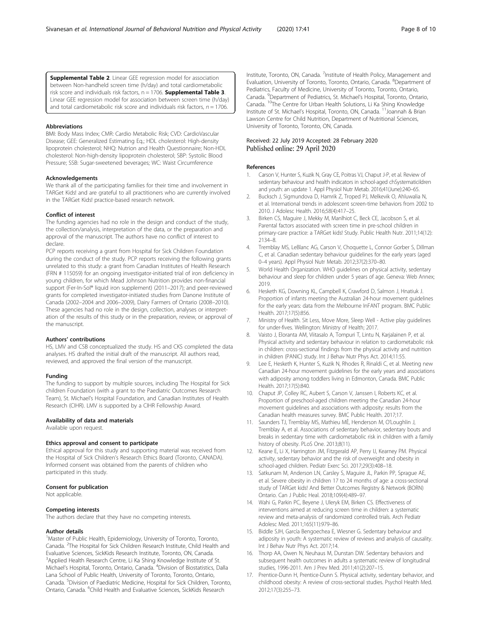<span id="page-7-0"></span>**Supplemental Table 2.** Linear GEE regression model for association between Non-handheld screen time (h/day) and total cardiometabolic risk score and individuals risk factors,  $n = 1706$ . **Supplemental Table 3**. Linear GEE regression model for association between screen time (h/day) and total cardiometabolic risk score and individuals risk factors,  $n = 1706$ .

#### Abbreviations

BMI: Body Mass Index; CMR: Cardio Metabolic Risk; CVD: CardioVascular Disease; GEE: Generalized Estimating Eq.; HDL cholesterol: High-density lipoprotein cholesterol; NHQ: Nutrion and Health Questionnaire; Non-HDL cholesterol: Non-high-density lipoprotein cholesterol; SBP: Systolic Blood Pressure; SSB: Sugar-sweetened beverages; WC: Waist Circumference

#### Acknowledgements

We thank all of the participating families for their time and involvement in TARGet Kids! and are grateful to all practitioners who are currently involved in the TARGet Kids! practice-based research network.

#### Conflict of interest

The funding agencies had no role in the design and conduct of the study, the collection/analysis, interpretation of the data, or the preparation and approval of the manuscript. The authors have no conflict of interest to declare

PCP reports receiving a grant from Hospital for Sick Children Foundation during the conduct of the study. PCP reports receiving the following grants unrelated to this study: a grant from Canadian Institutes of Health Research (FRN # 115059) for an ongoing investigator-initiated trial of iron deficiency in young children, for which Mead Johnson Nutrition provides non-financial support (Fer-In-Sol® liquid iron supplement) (2011–2017); and peer-reviewed grants for completed investigator-initiated studies from Danone Institute of Canada (2002–2004 and 2006–2009), Dairy Farmers of Ontario (2008–2010). These agencies had no role in the design, collection, analyses or interpretation of the results of this study or in the preparation, review, or approval of the manuscript.

#### Authors' contributions

HS, LMV and CSB conceptualized the study. HS and CKS completed the data analyses. HS drafted the initial draft of the manuscript. All authors read, reviewed, and approved the final version of the manuscript.

#### Funding

The funding to support by multiple sources, including The Hospital for Sick children Foundation (with a grant to the Paediatric Outcomes Research Team), St. Michael's Hospital Foundation, and Canadian Institutes of Health Research (CIHR). LMV is supported by a CIHR Fellowship Award.

#### Availability of data and materials

Available upon request.

#### Ethics approval and consent to participate

Ethical approval for this study and supporting material was received from the Hospital of Sick Children's Research Ethics Board (Toronto, CANADA). Informed consent was obtained from the parents of children who participated in this study.

#### Consent for publication

Not applicable.

#### Competing interests

The authors declare that they have no competing interests.

#### Author details

<sup>1</sup>Master of Public Health, Epidemiology, University of Toronto, Toronto, Canada. <sup>2</sup>The Hospital for Sick Children Research Institute, Child Health and Evaluative Sciences, SickKids Research Institute, Toronto, ON, Canada. <sup>3</sup>Applied Health Research Centre, Li Ka Shing Knowledge Institute of St. Michael's Hospital, Toronto, Ontario, Canada. <sup>4</sup>Division of Biostatistics, Dalla Lana School of Public Health, University of Toronto, Toronto, Ontario, Canada. <sup>5</sup>Division of Paediatric Medicine, Hospital for Sick Children, Toronto, Ontario, Canada. <sup>6</sup>Child Health and Evaluative Sciences, SickKids Research

Institute, Toronto, ON, Canada. <sup>7</sup>Institute of Health Policy, Management and Evaluation, University of Toronto, Toronto, Ontario, Canada. <sup>8</sup>Department of Pediatrics, Faculty of Medicine, University of Toronto, Toronto, Ontario, Canada. <sup>9</sup>Department of Pediatrics, St. Michael's Hospital, Toronto, Ontario Canada. 10The Centre for Urban Health Solutions, Li Ka Shing Knowledge Institute of St. Michael's Hospital, Toronto, ON, Canada. 11Joannah & Brian Lawson Centre for Child Nutrition, Department of Nutritional Sciences, University of Toronto, Toronto, ON, Canada.

#### Received: 22 July 2019 Accepted: 28 February 2020 Published online: 29 April 2020

#### References

- Carson V, Hunter S, Kuzik N, Gray CE, Poitras VJ, Chaput J-P, et al. Review of sedentary behaviour and health indicators in school-aged chSystematicildren and youth: an update 1. Appl Physiol Nutr Metab. 2016;41(June):240–65.
- 2. Bucksch J, Sigmundova D, Hamrik Z, Troped PJ, Melkevik O, Ahluwalia N, et al. International trends in adolescent screen-time behaviors from 2002 to 2010. J Adolesc Health. 2016;58(4):417–25.
- 3. Birken CS, Maguire J, Mekky M, Manlhiot C, Beck CE, Jacobson S, et al. Parental factors associated with screen time in pre-school children in primary-care practice: a TARGet kids! Study. Public Health Nutr. 2011;14(12): 2134–8.
- 4. Tremblay MS, LeBlanc AG, Carson V, Choquette L, Connor Gorber S, Dillman C, et al. Canadian sedentary behaviour guidelines for the early years (aged 0–4 years). Appl Physiol Nutr Metab. 2012;37(2):370–80.
- 5. World Health Organization. WHO guidelines on physical activity, sedentary behaviour and sleep for children under 5 years of age. Geneva: Web Annex; 2019.
- 6. Hesketh KG, Downing KL, Campbell K, Crawford D, Salmon J, Hnatiuk J. Proportion of infants meeting the Australian 24-hour movement guidelines for the early years: data from the Melbourne InFANT program. BMC Public Health. 2017;17(5):856.
- 7. Ministry of Health. Sit Less, Move More, Sleep Well Active play guidelines for under-fives. Wellington: Ministry of Health; 2017.
- Vaisto J, Eloranta AM, Viitasalo A, Tompuri T, Lintu N, Karjalainen P, et al. Physical activity and sedentary behaviour in relation to cardiometabolic risk in children: cross-sectional findings from the physical activity and nutrition in children (PANIC) study. Int J Behav Nutr Phys Act. 2014;11:55.
- 9. Lee E, Hesketh K, Hunter S, Kuzik N, Rhodes R, Rinaldi C, et al. Meeting new Canadian 24-hour movement guidelines for the early years and associations with adiposity among toddlers living in Edmonton, Canada. BMC Public Health. 2017;17(5):840.
- 10. Chaput JP, Colley RC, Aubert S, Carson V, Janssen I, Roberts KC, et al. Proportion of preschool-aged children meeting the Canadian 24-hour movement guidelines and associations with adiposity: results from the Canadian health measures survey. BMC Public Health. 2017;17.
- 11. Saunders TJ, Tremblay MS, Mathieu MÈ, Henderson M, O'Loughlin J, Tremblay A, et al. Associations of sedentary behavior, sedentary bouts and breaks in sedentary time with cardiometabolic risk in children with a family history of obesity. PLoS One. 2013;8(11).
- 12. Keane E, Li X, Harrington JM, Fitzgerald AP, Perry IJ, Kearney PM. Physical activity, sedentary behavior and the risk of overweight and obesity in school-aged children. Pediatr Exerc Sci. 2017;29(3):408–18.
- 13. Satkunam M, Anderson LN, Carsley S, Maguire JL, Parkin PP, Sprague AE, et al. Severe obesity in children 17 to 24 months of age: a cross-sectional study of TARGet kids! And Better Outcomes Registry & Network (BORN) Ontario. Can J Public Heal. 2018;109(4):489–97.
- 14. Wahi G, Parkin PC, Beyene J, Uleryk EM, Birken CS. Effectiveness of interventions aimed at reducing screen time in children: a systematic review and meta-analysis of randomized controlled trials. Arch Pediatr Adolesc Med. 2011;165(11):979–86.
- 15. Biddle SJH, García Bengoechea E, Wiesner G. Sedentary behaviour and adiposity in youth: A systematic review of reviews and analysis of causality. Int J Behav Nutr Phys Act. 2017;14.
- 16. Thorp AA, Owen N, Neuhaus M, Dunstan DW. Sedentary behaviors and subsequent health outcomes in adults a systematic review of longitudinal studies, 1996-2011. Am J Prev Med. 2011;41(2):207–15.
- 17. Prentice-Dunn H, Prentice-Dunn S. Physical activity, sedentary behavior, and childhood obesity: A review of cross-sectional studies. Psychol Health Med. 2012;17(3):255–73.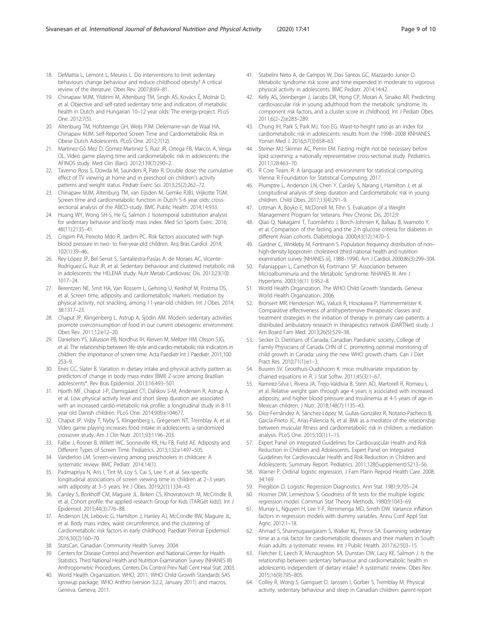- <span id="page-8-0"></span>18. DeMattia L, Lemont L, Meures L. Do interventions to limit sedentary behaviours change behaviour and reduce childhood obesity? A critical review of the literature. Obes Rev. 2007;8:69–81.
- 19. Chinapaw MJM, Yildirim M, Altenburg TM, Singh AS, Kovács É, Molnár D, et al. Objective and self-rated sedentary time and indicators of metabolic health in Dutch and Hungarian 10–12 year olds: The energy-project. PLoS One. 2012;7(5).
- 20. Altenburg TM, Hofsteenge GH, Weijs PJM. Delemarre-van de Waal HA, Chinapaw MJM. Self-Reported Screen Time and Cardiometabolic Risk in Obese Dutch Adolescents. PLoS One. 2012;7(12).
- 21. Martinez-Gó Mez D, Gomez-Martinez S, Ruiz JR, Ortega FB, Marcos A, Veiga OL. Video game playing time and cardiometabolic risk in adolescents: the AFINOS study. Med Clin (Barc). 2012;139(7):290–2.
- 22. Taverno Ross S, Dowda M, Saunders R, Pate R. Double dose: the cumulative effect of TV viewing at home and in preschool on children's activity patterns and weight status. Pediatr Exerc Sci. 2013;25(2):262–72.
- 23. Chinapaw MJM, Altenburg TM, van Eijsden M, Gemke RJBJ, Vrijkotte TGM. Screen time and cardiometabolic function in Dutch 5-6 year olds: crosssectional analysis of the ABCD-study. BMC Public Health. 2014;14:933.
- 24. Huang WY, Wong SH-S, He G, Salmon J. Isotemporal substitution analysis for sedentary behavior and body mass index. Med Sci Sports Exerc. 2016; 48(11):2135–41.
- 25. Crispim PA, Peixoto Mdo R, Jardim PC. Risk factors associated with high blood pressure in two- to five-year-old children. Arq Bras Cardiol. 2014; 102(1):39–46..
- 26. Rey-López JP, Bel-Serrat S, Santaliestra-Pasías A, de Moraes AC, Vicente-Rodríguez G, Ruiz JR, et al. Sedentary behaviour and clustered metabolic risk in adolescents: the HELENA study. Nutr Metab Cardiovasc Dis. 2013;23(10): 1017–24.
- 27. Berentzen NE, Smit HA, Van Rossem L, Gehring U, Kerkhof M, Postma DS, et al. Screen time, adiposity and cardiometabolic markers: mediation by physical activity, not snacking, among 11-year-old children. Int J Obes. 2014; 38:1317–23.
- 28. Chaput JP, Klingenberg L, Astrup A, Sjödin AM. Modern sedentary activities promote overconsumption of food in our current obesogenic environment. Obes Rev. 2011;12:e12–20.
- 29. Danielsen YS, Júlíusson PB, Nordhus IH, Kleiven M, Meltzer HM, Olsson SJG, et al. The relationship between life-style and cardio-metabolic risk indicators in children: the importance of screen time. Acta Paediatr Int J Paediatr. 2011;100: 253–9.
- 30. Enes CC, Slater B. Variation in dietary intake and physical activity pattern as predictors of change in body mass index (BMI) Z-score among Brazilian adolescents\*. Rev Bras Epidemiol. 2013;16:493–501.
- 31. Hjorth MF, Chaput J-P, Damsgaard CT, Dalskov S-M, Andersen R, Astrup A, et al. Low physical activity level and short sleep duration are associated with an increased cardio-metabolic risk profile: a longitudinal study in 8-11 year old Danish children. PLoS One. 2014;9(8):e104677.
- 32. Chaput JP, Visby T, Nyby S, Klingenberg L, Gregersen NT, Tremblay A, et al. Video game playing increases food intake in adolescents: a randomized crossover study. Am J Clin Nutr. 2011;93:1196–203.
- 33. Falbe J, Rosner B, Willett WC, Sonneville KR, Hu FB, Field AE. Adiposity and Different Types of Screen Time. Pediatrics. 2013;132:e1497–505.
- 34. Vanderloo LM. Screen-viewing among preschoolers in childcare: A systematic review. BMC Pediatr. 2014;14(1).
- 35. Padmapriya N, Aris I, Tint M, Loy S, Cai S, Lee Y, et al. Sex-specific longitudinal associations of screen viewing time in children at 2–3 years with adiposity at 3–5 years. Int J Obes. 2019;2(1):1334–43.
- 36. Carsley S, Borkhoff CM, Maguire JL, Birken CS, Khovratovich M, McCrindle B, et al. Cohort profile: the applied research Group for Kids (TARGet kids!). Int J Epidemiol. 2015;44(3):776–88.
- 37. Anderson LN, Lebovic G, Hamilton J, Hanley AJ, McCrindle BW, Maguire JL, et al. Body mass index, waist circumference, and the clustering of Cardiometabolic risk factors in early childhood. Paediatr Perinat Epidemiol. 2016;30(2):160–70.
- 38. StatsCan. Canadian Community Health Survey. 2004.
- 39. Centers for Disease Control and Prevention and National Center for Health Statistics. Third National Health and Nutrition Examination Survey (NHANES III) Anthropometric Procedures. Centers Dis Control Prev Natl Cent Heal Stat. 2003.
- 40. World Health Organization. WHO, 2011. WHO Child Growth Standards SAS igrowup package, WHO Anthro (version 3.2.2, January 2011) and macros, Geneva. Geneva; 2011.
- 41. Stabelini Neto A, de Campos W, Dos Santos GC, Mazzardo Junior O. Metabolic syndrome risk score and time expended in moderate to vigorous physical activity in adolescents. BMC Pediatr. 2014;14:42.
- 42. Kelly AS, Steinberger J, Jacobs DR, Hong CP, Moran A, Sinaiko AR. Predicting cardiovascular risk in young adulthood from the metabolic syndrome, its component risk factors, and a cluster score in childhood. Int J Pediatr Obes. 2011;6(2–2):e283–289.
- 43. Chung IH, Park S, Park MJ, Yoo EG. Waist-to-height ratio as an index for cardiometabolic risk in adolescents: results from the 1998−2008 KNHANES. Yonsei Med J. 2016;57(3):658–63.
- 44. Steiner MJ, Skinner AC, Perrin EM. Fasting might not be necessary before lipid screening: a nationally representative cross-sectional study. Pediatrics. 2011;128:463–70.
- 45. R Core Team. R: A language and environment for statistical computing. Vienna: R Foundation for Statistical Computing; 2017.
- 46. Plumptre L, Anderson LN, Chen Y, Carsley S, Narang I, Hamilton J, et al. Longitudinal analysis of sleep duration and Cardiometabolic risk in young children. Child Obes. 2017;13(4):291–9.
- 47. Littman A, Boyko E, McDonell M, Fihn S. Evaluation of a Weight Management Program for Veterans. Prev Chronic Dis. 2012;9.
- 48. Qiao Q, Nakagami T, Tuomilehto J, Borch-Johnsen K, Balkau B, Iwamoto Y, et al. Comparison of the fasting and the 2-h glucose criteria for diabetes in different Asian cohorts. Diabetologia. 2000;43(12):1470–5.
- 49. Gardner C, Winkleby M, Fortmann S. Population frequency distribution of non– high-density lipoprotein cholesterol (third national health and nutrition examination survey [NHANES iii], 1988–1994). Am J Cardiol. 2000;86(3):299–304.
- 50. Palaniappan L, Carnethon M, Fortmann SP. Association between Microalbuminuria and the Metabolic Syndrome: NHANES III. Am J Hypertens. 2003;16(11 I):952–8.
- 51. World Health Organization. The WHO Child Growth Standards. Geneva: World Health Organization; 2006.
- 52. Bronsert MR, Henderson WG, Valuck R, Hosokawa P, Hammermeister K. Comparative effectiveness of antihypertensive therapeutic classes and treatment strategies in the initiation of therapy in primary care patients: a distributed ambulatory research in therapeutics network (DARTNet) study. J Am Board Fam Med. 2013;26(5):529–38.
- 53. Secker D. Dietitians of Canada, Canadian Paediatric society, College of Family Physicians of Canada CHN of C. promoting optimal monitoring of child growth in Canada: using the new WHO growth charts. Can J Diet Pract Res. 2010;71(1):e1–3.
- 54. Buuren SV, Groothuis-Oudshoorn K. mice: multivariate imputation by chained equations in R. J Stat Softw. 2011;45(3):1–67..
- 55. Ramirez-Silva I, Rivera JA, Trejo-Valdivia B, Stein AD, Martorell R, Romieu I, et al. Relative weight gain through age 4 years is associated with increased adiposity, and higher blood pressure and Insulinemia at 4-5 years of age in Mexican children. J Nutr. 2018;148(7):1135–43.
- 56. Díez-Fernández A, Sánchez-López M, Gulías-González R, Notario-Pacheco B, García-Prieto JC, Arias-Palencia N, et al. BMi as a mediator of the relationship between muscular fitness and cardiometabolic risk in children: a mediation analysis. PLoS One. 2015;10(1):1–15.
- 57. Expert Panel on Integrated Guidelines for Cardiovascular Health and Risk Reduction in Children and Adolescents. Expert Panel on Integrated Guidelines for Cardiovascular Health and Risk Reduction in Children and Adolescents: Summary Report. Pediatrics. 2011;128(Supplement):S213–56.
- 58. Warner P. Ordinal logistic regression. J Fam Plann Reprod Health Care. 2008; 34:169.
- 59. Pregibon D. Logistic Regression Diagnostics. Ann Stat. 1981;9:705–24.
- 60. Hosmer DW, Lemeshow S. Goodness of fit tests for the multiple logistic regression model. Commun Stat Theory Methods. 1980;9:1043–69.
- 61. Murray L, Nguyen H, Lee Y-F, Remmenga MD, Smith DW. Variance inflation factors in regression models with dummy variables. Annu Conf Appl Stat Agric. 2012:1–18.
- 62. Ahmad S, Shanmugasegaram S, Walker KL, Prince SA. Examining sedentary time as a risk factor for cardiometabolic diseases and their markers in South Asian adults: a systematic review. Int J Public Health. 2017;62:503–15.
- 63. Fletcher E, Leech R, Mcnaughton SA, Dunstan DW, Lacy KE, Salmon J. Is the relationship between sedentary behaviour and cardiometabolic health in adolescents independent of dietary intake? A systematic review. Obes Rev. 2015;16(9):795–805.
- 64. Colley R, Wong S, Garriguet D, Janssen I, Gorber S, Tremblay M. Physical activity, sedentary behaviour and sleep in Canadian children: parent-report